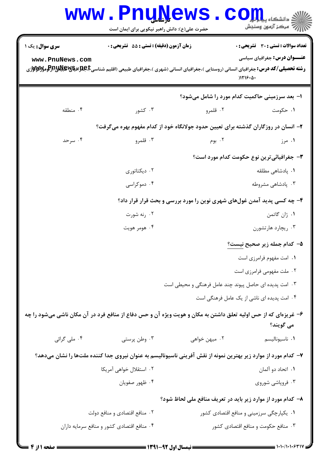|                        | <b>www.PnuNews</b><br>حضرت علی(ع): دانش راهبر نیکویی برای ایمان است                                                                                                    |               | CO<br>رآ - مرڪز آزمون وسنڊش                                             |
|------------------------|------------------------------------------------------------------------------------------------------------------------------------------------------------------------|---------------|-------------------------------------------------------------------------|
| <b>سری سوال :</b> یک ۱ | <b>زمان آزمون (دقیقه) : تستی : 55 تشریحی : 0</b>                                                                                                                       |               | <b>تعداد سوالات : تستی : 30 ٪ تشریحی : 0</b>                            |
| www.PnuNews.com        | <b>رشته تحصیلی/کد درس:</b> جغرافیای انسانی (روستایی )،جغرافیای انسانی (شهری )،جغرافیای طبیعی (اقلیم شناسیCبهایالاویالاویالاویالاویالاوییالاوییالاوییالاوییالاوییا<br>. |               | <b>عنـــوان درس:</b> جغرافیای سیاسی<br>)1119.0.                         |
|                        |                                                                                                                                                                        |               | ۱– بعد سرزمینی حاکمیت کدام مورد را شامل میشود؟                          |
| ۰۴ منطقه               | ۰۳ کشور                                                                                                                                                                | ۰۲ قلمرو      | ۰۱ حکومت                                                                |
|                        | ۲– انسان در روزگاران گذشته برای تعیین حدود جولانگاه خود از کدام مفهوم بهره میگرفت؟                                                                                     |               |                                                                         |
| ۰۴ سرحد                | ۰۳ قلمرو                                                                                                                                                               | ۰۲ بوم        | ۰۱ مرز                                                                  |
|                        |                                                                                                                                                                        |               | <b>۳</b> - جغرافیائی ترین نوع حکومت کدام مورد است؟                      |
|                        | ۰۲ دیکتاتوری                                                                                                                                                           |               | <b>۱</b> . پادشاهی مطلقه                                                |
|                        | ۰۴ دموکراسی                                                                                                                                                            |               | ۰۳ پادشاهی مشروطه                                                       |
|                        |                                                                                                                                                                        |               | ۴- چه کسی پدید آمدن غولهای شهری نوین را مورد بررسی و بحث قرار قرار داد؟ |
|                        | ۰۲ رنه شورت                                                                                                                                                            |               | ۰۱ ژان گاتمن                                                            |
|                        | ۰۴ هومر هويت                                                                                                                                                           |               | ۰۳ ریچارد هارتشورن                                                      |
|                        |                                                                                                                                                                        |               | ۵– کدام جمله زیر صحیح نیست؟                                             |
|                        |                                                                                                                                                                        |               | ۰۱ امت مفهوم فرامرزی است                                                |
|                        |                                                                                                                                                                        |               | ۰۲ ملت مفهومی فرامرزی است                                               |
|                        |                                                                                                                                                                        |               | ۰۳ امت پدیده ای حاصل پیوند چند عامل فرهنگی و محیطی است                  |
|                        |                                                                                                                                                                        |               | ۰۴ امت پدیده ای ناشی از یک عامل فرهنگی است                              |
|                        | ۶– غریزهای که از حس اولیه تعلق داشتن به مکان و هویت ویژه آن و حس دفاع از منافع فرد در آن مکان ناشی میشود را چه                                                         |               | مي گويند؟                                                               |
| ۰۴ ملي گرائي           | ۰۳ وطن پرستی                                                                                                                                                           | ۰۲ میهن خواهی | ٠١ ناسيوناليسم                                                          |
|                        | ۷– کدام مورد از موارد زیر بهترین نمونه از نقش آفرینی ناسیونالیسم به عنوان نیروی جدا کننده ملتها را نشان میدهد؟                                                         |               |                                                                         |
|                        | ۰۲ استقلال خواهی آمریکا                                                                                                                                                |               | ۰۱ اتحاد دو آلمان                                                       |
|                        | ۰۴ ظهور صفويان                                                                                                                                                         |               | ۰۳ فروپاشی شوروی                                                        |
|                        |                                                                                                                                                                        |               | ۸- کدام مورد از موارد زیر باید در تعریف منافع ملی لحاظ شود؟             |
|                        | ۰۲ منافع اقتصادي و منافع دولت                                                                                                                                          |               | ۰۱ يکپارچگي سرزميني و منافع اقتصادي کشور                                |
|                        | ۰۴ منافع اقتصادي كشور و منافع سرمايه داران                                                                                                                             |               | ۰۳ منافع حکومت و منافع اقتصادی کشور                                     |

 $= 1.1 - 11.1.94$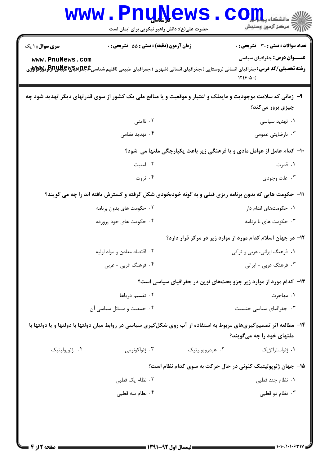| <b>WWW</b>                                                                                                                                      | <b>LLY</b><br>حضرت علی(ع): دانش راهبر نیکویی برای ایمان است | د دانشکاه پ <b>یا با ت<mark>و</mark></b><br>ر آمرڪز آزمون وسنڊش                                                                                                                                                                                                                                                                   |  |  |
|-------------------------------------------------------------------------------------------------------------------------------------------------|-------------------------------------------------------------|-----------------------------------------------------------------------------------------------------------------------------------------------------------------------------------------------------------------------------------------------------------------------------------------------------------------------------------|--|--|
| سری سوال : ۱ یک<br>www.PnuNews.com                                                                                                              | <b>زمان آزمون (دقیقه) : تستی : 55 تشریحی : 0</b>            | تعداد سوالات : تستي : 30 ٪ تشريحي : 0<br><b>عنـــوان درس:</b> جغرافیای سیاسی<br><b>رشته تحصیلی/کد درس:</b> جغرافیای انسانی (روستایی )،جغرافیای انسانی (شهری )،جغرافیای طبیعی (اقلیم شناسیجهایالهای استان<br>مسته تحصیلی/کد درس:جغرافیای انسانی (روستایی )،جغرافیای انسانی (شهری )،جغرافیای طبیعی (اقلیم شناسیجهایالهای<br>1119.4( |  |  |
| ۹- زمانی که سلامت موجودیت و مایملک و اعتبار و موقعیت و یا منافع ملی یک کشور از سوی قدرتهای دیگر تهدید شود چه<br>چیزی بروز م <i>ی ک</i> ند؟      |                                                             |                                                                                                                                                                                                                                                                                                                                   |  |  |
|                                                                                                                                                 | ۰۲ ناامنی                                                   | ۰۱ تهدید سیاسی                                                                                                                                                                                                                                                                                                                    |  |  |
|                                                                                                                                                 | ۰۴ تهدید نظامی                                              | ۰۳ نارضایتی عمومی                                                                                                                                                                                                                                                                                                                 |  |  |
| ∙ا− کدام عامل از عوامل مادی و یا فرهنگی زیر باعث یکپارچگی ملتها می شود؟                                                                         |                                                             |                                                                                                                                                                                                                                                                                                                                   |  |  |
|                                                                                                                                                 | ۰۲ امنیت                                                    | ۰۱ قدرت                                                                                                                                                                                                                                                                                                                           |  |  |
|                                                                                                                                                 | ۰۴ ثروت                                                     | ۰۳ علت وجودي                                                                                                                                                                                                                                                                                                                      |  |  |
|                                                                                                                                                 |                                                             | 11- حکومت هایی که بدون برنامه ریزی قبلی و به گونه خودبخودی شکل گرفته و گسترش یافته اند را چه می گویند؟                                                                                                                                                                                                                            |  |  |
|                                                                                                                                                 | ۰۲ حکومت های بدون برنامه                                    | ۰۱ حکومتهای اندام دار                                                                                                                                                                                                                                                                                                             |  |  |
|                                                                                                                                                 | ۰۴ حکومت های خود پرورده                                     | ۰۳ حکومت های با برنامه                                                                                                                                                                                                                                                                                                            |  |  |
|                                                                                                                                                 |                                                             | 1۲- در جهان اسلام کدام مورد از موارد زیر در مرکز قرار دارد؟                                                                                                                                                                                                                                                                       |  |  |
|                                                                                                                                                 | ۰۲ اقتصاد معادن و مواد اولیه                                | ۰۱ فرهنگ ایرانی، عربی و ترکی                                                                                                                                                                                                                                                                                                      |  |  |
| ۰۴ فرهنگ غربی - عربی                                                                                                                            |                                                             | ۰۳ فرهنگ عربی - ایرانی                                                                                                                                                                                                                                                                                                            |  |  |
|                                                                                                                                                 |                                                             | <b>۱۳</b> - کدام مورد از موارد زیر جزو بحثهای نوین در جغرافیای سیاسی است؟                                                                                                                                                                                                                                                         |  |  |
|                                                                                                                                                 | ۰۲ تقسیم دریاها                                             | ۰۱ مهاجرت                                                                                                                                                                                                                                                                                                                         |  |  |
|                                                                                                                                                 | ۰۴ جمعیت و مسائل سیاسی آن                                   | ۰۳ جغرافیای سیاسی جنسیت                                                                                                                                                                                                                                                                                                           |  |  |
| ۱۴- مطالعه اثر تصمیمگیریهای مربوط به استفاده از آب روی شکلگیری سیاسی در روابط میان دولتها با دولتها و یا دولتها با<br>ملتهای خود را چه میگویند؟ |                                                             |                                                                                                                                                                                                                                                                                                                                   |  |  |
| ۰۴ ژئوپولیتیک                                                                                                                                   | ۰۳ ژئواکونومی                                               | ۰۲ هیدروپولیتیک<br>۰۱ ژئواستراتژیک                                                                                                                                                                                                                                                                                                |  |  |
|                                                                                                                                                 |                                                             | ۱۵– جهان ژئوپولیتیک کنونی در حال حرکت به سوی کدام نظام است؟                                                                                                                                                                                                                                                                       |  |  |
|                                                                                                                                                 | ۰۲ نظام یک قطب <u>ی</u>                                     | ۰۱ نظام چند قطبی                                                                                                                                                                                                                                                                                                                  |  |  |
|                                                                                                                                                 | ۰۴ نظام سه قطبی                                             | ۰۳ نظام دو قطبی                                                                                                                                                                                                                                                                                                                   |  |  |
|                                                                                                                                                 |                                                             |                                                                                                                                                                                                                                                                                                                                   |  |  |

 $1 - 1 - 11 - 1 - 97$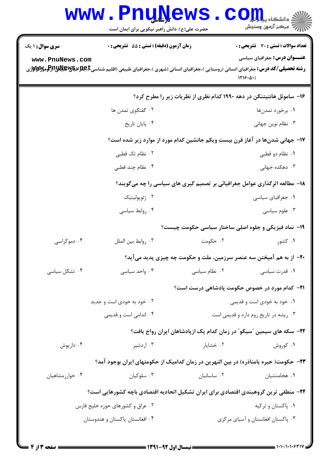|                                                                              | <b>WWW.PNUNEWS</b><br>حضرت علی(ع): دانش راهبر نیکویی برای ایمان است                                                                                   |               | $\text{C}$ <i>OII</i><br>رآب آمرڪز آزمون وسنڊش                             |  |
|------------------------------------------------------------------------------|-------------------------------------------------------------------------------------------------------------------------------------------------------|---------------|----------------------------------------------------------------------------|--|
| <b>سری سوال :</b> ۱ یک                                                       | <b>زمان آزمون (دقیقه) : تستی : 55 تشریحی : 0</b>                                                                                                      |               | <b>تعداد سوالات : تستی : 30 ٪ تشریحی : 0</b>                               |  |
| www.PnuNews.com                                                              | <b>رشته تحصیلی/کد درس:</b> جغرافیای انسانی (روستایی )،جغرافیای انسانی (شهری )،جغرافیای طبیعی (اقلیم شناسی <b>E،طبلاتیاشی از (عومزلاتلازلاتو</b> مزلات |               | <b>عنـــوان درس:</b> جغرافیای سیاسی<br>1119.4(                             |  |
|                                                                              |                                                                                                                                                       |               | ۱۶– ساموئل هانتیتنگن در دهه ۱۹۹۰ کدام نظری از نظریات زیر را مطرح کرد؟      |  |
|                                                                              | ۰۲ گفتگوی تمدن ها                                                                                                                                     |               | ۰۱ برخورد تمدنها                                                           |  |
|                                                                              | ۰۴ پایان تاریخ                                                                                                                                        |               | ۰۳ نظام نوين جهاني                                                         |  |
| ۱۷- جهانی شدنها در آغاز قرن بیست ویکم جانشین کدام مورد از موارد زیر شده است؟ |                                                                                                                                                       |               |                                                                            |  |
|                                                                              | ۰۲ نظام تک قطبی                                                                                                                                       |               | ۰۱ نظام دو قطبی                                                            |  |
|                                                                              | ۰۴ نظام چند قطبی                                                                                                                                      |               | ۰۳ دهکده جهانی                                                             |  |
|                                                                              |                                                                                                                                                       |               | ۱۸- مطالعه اثرگذاری عوامل جغرافیائی بر تصمیم گیری های سیاسی را چه میگویند؟ |  |
|                                                                              | ۰۲ ژئوپولیتیک                                                                                                                                         |               | ۰۱ جغرافیای سیاسی                                                          |  |
|                                                                              | ۰۴ روابط سیاسی                                                                                                                                        |               | ۰۳ علوم سياسى                                                              |  |
|                                                                              |                                                                                                                                                       |               | <b>۱۹</b> - نماد فیزیکی و جلوه اصلی ساختار سیاسی حکومت چیست؟               |  |
| ۰۴ دموکراسی                                                                  | ٠٣ روابط بين الملل                                                                                                                                    | ۰۲ حکومت      | ۰۱ کشور                                                                    |  |
|                                                                              |                                                                                                                                                       |               | ۲۰- از به هم آمیختن سه عنصر سرزمین، ملت و حکومت چه چیزی پدید میآید؟        |  |
| ۰۴ تشکل سیاسی                                                                | ۰۳ واحد سیاسی                                                                                                                                         | ۰۲ نظام سیاسی | ۰۱ قدرت سیاسی                                                              |  |
|                                                                              |                                                                                                                                                       |               | <b>۲۱</b> - کدام مورد در خصوص حکومت پادشاهی درست است؟                      |  |
|                                                                              | ۰۲ خود به خودی است و جدید                                                                                                                             |               | ۰۱ خود به خودی است و قدیمی                                                 |  |
|                                                                              | ۰۴ اندامی است و قدیمی                                                                                                                                 |               | ۰۳ ریشه در تاریخ روم دارد و قدیمی است                                      |  |
|                                                                              |                                                                                                                                                       |               | ۲۲– سکه های سیمین ″سیگو″ در زمان کدام یک ازپادشاهان ایران رواج یافت؟       |  |
| ۰۴ داریوش                                                                    | ۰۳ اردشیر                                                                                                                                             | ۰۲ خشایار     | ۰۱ کوروش                                                                   |  |
|                                                                              | ۲۳– حکومت( حیره یامناذره) در بین النهرین در زمان کدامیک از حکومتهای ایران بوجود آمد؟                                                                  |               |                                                                            |  |
| ۰۴ خوارزمشاهیان                                                              | ۰۳ سلوکیان                                                                                                                                            | ۰۲ ساسانیان   | ۰۱ هخامنشیان                                                               |  |
|                                                                              | ۲۴– منطقی ترین گروهبندی اقتصادی برای ایران تشکیل اتحادیه اقتصادی باچه کشورهایی است؟                                                                   |               |                                                                            |  |
|                                                                              | ۰۲ عراق و کشورهای حوزه خلیج فارس                                                                                                                      |               | ۰۱ پاکستان و ترکیه                                                         |  |
|                                                                              | ۰۴ افغانستان پاکستان و هندوستان                                                                                                                       |               | ۰۳ پاکستان افغانستان و آسیای مرکزی                                         |  |